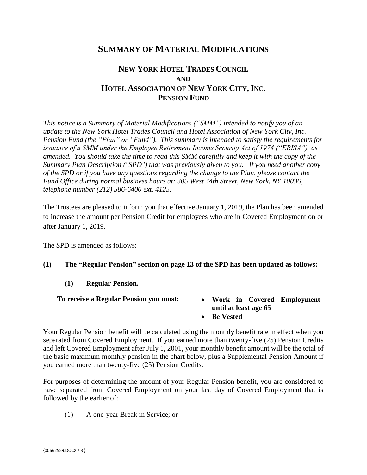# **SUMMARY OF MATERIAL MODIFICATIONS**

# **NEW YORK HOTEL TRADES COUNCIL AND HOTEL ASSOCIATION OF NEW YORK CITY,INC. PENSION FUND**

*This notice is a Summary of Material Modifications ("SMM") intended to notify you of an update to the New York Hotel Trades Council and Hotel Association of New York City, Inc. Pension Fund (the "Plan" or "Fund"). This summary is intended to satisfy the requirements for issuance of a SMM under the Employee Retirement Income Security Act of 1974 ("ERISA"), as amended. You should take the time to read this SMM carefully and keep it with the copy of the Summary Plan Description ("SPD") that was previously given to you. If you need another copy of the SPD or if you have any questions regarding the change to the Plan, please contact the Fund Office during normal business hours at: 305 West 44th Street, New York, NY 10036, telephone number (212) 586-6400 ext. 4125.* 

The Trustees are pleased to inform you that effective January 1, 2019, the Plan has been amended to increase the amount per Pension Credit for employees who are in Covered Employment on or after January 1, 2019.

The SPD is amended as follows:

#### **(1) The "Regular Pension" section on page 13 of the SPD has been updated as follows:**

**(1) Regular Pension.**

#### **To receive a Regular Pension you must:** • Work in Covered Employment

- **until at least age 65**
- **Be Vested**

Your Regular Pension benefit will be calculated using the monthly benefit rate in effect when you separated from Covered Employment. If you earned more than twenty-five (25) Pension Credits and left Covered Employment after July 1, 2001, your monthly benefit amount will be the total of the basic maximum monthly pension in the chart below, plus a Supplemental Pension Amount if you earned more than twenty-five (25) Pension Credits.

For purposes of determining the amount of your Regular Pension benefit, you are considered to have separated from Covered Employment on your last day of Covered Employment that is followed by the earlier of:

(1) A one-year Break in Service; or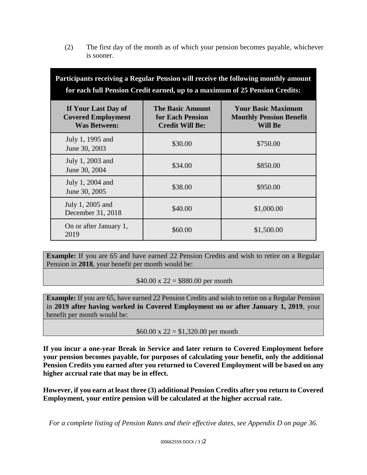(2) The first day of the month as of which your pension becomes payable, whichever is sooner.

| Participants receiving a Regular Pension will receive the following monthly amount<br>for each full Pension Credit earned, up to a maximum of 25 Pension Credits: |                                                                       |                                                                               |  |
|-------------------------------------------------------------------------------------------------------------------------------------------------------------------|-----------------------------------------------------------------------|-------------------------------------------------------------------------------|--|
| If Your Last Day of<br><b>Covered Employment</b><br><b>Was Between:</b>                                                                                           | <b>The Basic Amount</b><br>for Each Pension<br><b>Credit Will Be:</b> | <b>Your Basic Maximum</b><br><b>Monthly Pension Benefit</b><br><b>Will Be</b> |  |
| July 1, 1995 and<br>June 30, 2003                                                                                                                                 | \$30.00                                                               | \$750.00                                                                      |  |
| July 1, 2003 and<br>June 30, 2004                                                                                                                                 | \$34.00                                                               | \$850.00                                                                      |  |
| July 1, 2004 and<br>June 30, 2005                                                                                                                                 | \$38.00                                                               | \$950.00                                                                      |  |
| July 1, 2005 and<br>December 31, 2018                                                                                                                             | \$40.00                                                               | \$1,000.00                                                                    |  |
| On or after January 1,<br>2019                                                                                                                                    | \$60.00                                                               | \$1,500.00                                                                    |  |

**Example:** If you are 65 and have earned 22 Pension Credits and wish to retire on a Regular Pension in **2018**, your benefit per month would be:

 $$40.00 \times 22 = $880.00$  per month

**Example:** If you are 65, have earned 22 Pension Credits and wish to retire on a Regular Pension in **2019 after having worked in Covered Employment on or after January 1, 2019**, your benefit per month would be:

 $$60.00 \times 22 = $1,320.00 \text{ per month}$ 

**If you incur a one-year Break in Service and later return to Covered Employment before your pension becomes payable, for purposes of calculating your benefit, only the additional Pension Credits you earned after you returned to Covered Employment will be based on any higher accrual rate that may be in effect.** 

**However, if you earn at least three (3) additional Pension Credits after you return to Covered Employment, your entire pension will be calculated at the higher accrual rate.**

*For a complete listing of Pension Rates and their effective dates, see Appendix D on page 36.*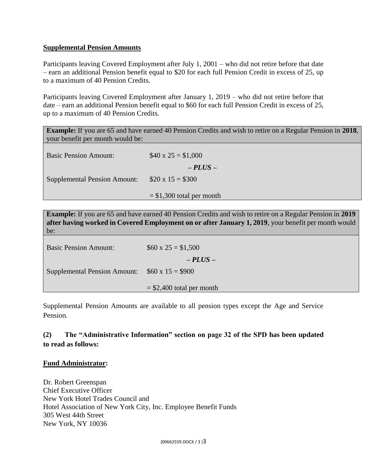## **Supplemental Pension Amounts**

Participants leaving Covered Employment after July 1, 2001 – who did not retire before that date – earn an additional Pension benefit equal to \$20 for each full Pension Credit in excess of 25, up to a maximum of 40 Pension Credits.

Participants leaving Covered Employment after January 1, 2019 – who did not retire before that date – earn an additional Pension benefit equal to \$60 for each full Pension Credit in excess of 25, up to a maximum of 40 Pension Credits.

**Example:** If you are 65 and have earned 40 Pension Credits and wish to retire on a Regular Pension in **2018**, your benefit per month would be:

Basic Pension Amount:  $$40 \times 25 = $1,000$ *– PLUS –* Supplemental Pension Amount:  $$20 \times 15 = $300$ 

 $=$  \$1,300 total per month

**Example:** If you are 65 and have earned 40 Pension Credits and wish to retire on a Regular Pension in **2019 after having worked in Covered Employment on or after January 1, 2019**, your benefit per month would be:

| <b>Basic Pension Amount:</b>                        | $$60 \times 25 = $1,500$    |
|-----------------------------------------------------|-----------------------------|
|                                                     | $-$ PLUS $-$                |
| Supplemental Pension Amount: $$60 \times 15 = $900$ |                             |
|                                                     | $=$ \$2,400 total per month |

Supplemental Pension Amounts are available to all pension types except the Age and Service Pension.

# **(2) The "Administrative Information" section on page 32 of the SPD has been updated to read as follows:**

#### **Fund Administrator:**

Dr. Robert Greenspan Chief Executive Officer New York Hotel Trades Council and Hotel Association of New York City, Inc. Employee Benefit Funds 305 West 44th Street New York, NY 10036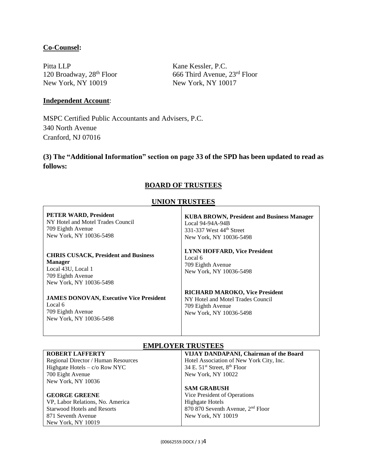## **Co-Counsel:**

r

Pitta LLP<br>
120 Broadway, 28<sup>th</sup> Floor<br>
666 Third Avenue, New York, NY 10019

666 Third Avenue,  $23<sup>rd</sup>$  Floor<br>New York, NY 10017

## **Independent Account**:

MSPC Certified Public Accountants and Advisers, P.C. 340 North Avenue Cranford, NJ 07016

**(3) The "Additional Information" section on page 33 of the SPD has been updated to read as follows:**

#### **BOARD OF TRUSTEES**

#### **UNION TRUSTEES**

| <b>PETER WARD, President</b>                                                                                                        | <b>KUBA BROWN, President and Business Manager</b>                                              |
|-------------------------------------------------------------------------------------------------------------------------------------|------------------------------------------------------------------------------------------------|
| NY Hotel and Motel Trades Council                                                                                                   | Local 94-94A-94B                                                                               |
| 709 Eighth Avenue                                                                                                                   | 331-337 West 44 <sup>th</sup> Street                                                           |
| New York, NY 10036-5498                                                                                                             | New York, NY 10036-5498                                                                        |
| <b>CHRIS CUSACK, President and Business</b><br><b>Manager</b><br>Local 43U, Local 1<br>709 Eighth Avenue<br>New York, NY 10036-5498 | <b>LYNN HOFFARD, Vice President</b><br>Local 6<br>709 Eighth Avenue<br>New York, NY 10036-5498 |
| <b>JAMES DONOVAN, Executive Vice President</b>                                                                                      | <b>RICHARD MAROKO, Vice President</b>                                                          |
| Local 6                                                                                                                             | NY Hotel and Motel Trades Council                                                              |
| 709 Eighth Avenue                                                                                                                   | 709 Eighth Avenue                                                                              |
| New York, NY 10036-5498                                                                                                             | New York, NY 10036-5498                                                                        |

| <b>EMPLOYER TRUSTEES</b>            |                                                      |  |
|-------------------------------------|------------------------------------------------------|--|
| <b>ROBERT LAFFERTY</b>              | VIJAY DANDAPANI, Chairman of the Board               |  |
| Regional Director / Human Resources | Hotel Association of New York City, Inc.             |  |
| Highgate Hotels $-c/o$ Row NYC      | 34 E. 51 <sup>st</sup> Street, 8 <sup>th</sup> Floor |  |
| 700 Eight Avenue                    | New York, NY 10022                                   |  |
| New York, NY 10036                  |                                                      |  |
|                                     | <b>SAM GRABUSH</b>                                   |  |
| <b>GEORGE GREENE</b>                | Vice President of Operations                         |  |
| VP, Labor Relations, No. America    | <b>Highgate Hotels</b>                               |  |
| Starwood Hotels and Resorts         | 870 870 Seventh Avenue, 2 <sup>nd</sup> Floor        |  |
| 871 Seventh Avenue                  | New York, NY 10019                                   |  |
| New York, NY 10019                  |                                                      |  |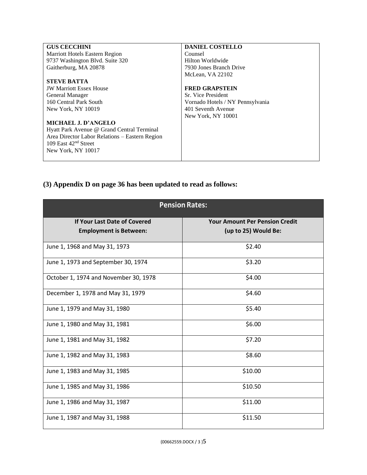| <b>GUS CECCHINI</b>                            | <b>DANIEL COSTELLO</b>           |
|------------------------------------------------|----------------------------------|
| Marriott Hotels Eastern Region                 | Counsel                          |
| 9737 Washington Blvd. Suite 320                | Hilton Worldwide                 |
| Gaitherburg, MA 20878                          | 7930 Jones Branch Drive          |
|                                                | McLean, VA 22102                 |
| <b>STEVE BATTA</b>                             |                                  |
| <b>JW Marriott Essex House</b>                 | <b>FRED GRAPSTEIN</b>            |
| General Manager                                | Sr. Vice President               |
| 160 Central Park South                         | Vornado Hotels / NY Pennsylvania |
| New York, NY 10019                             | 401 Seventh Avenue               |
|                                                | New York, NY 10001               |
| MICHAEL J. D'ANGELO                            |                                  |
| Hyatt Park Avenue @ Grand Central Terminal     |                                  |
| Area Director Labor Relations - Eastern Region |                                  |
| 109 East $42nd$ Street                         |                                  |
| New York, NY 10017                             |                                  |
|                                                |                                  |

# **(3) Appendix D on page 36 has been updated to read as follows:**

| <b>Pension Rates:</b>                                                |                                                               |  |
|----------------------------------------------------------------------|---------------------------------------------------------------|--|
| <b>If Your Last Date of Covered</b><br><b>Employment is Between:</b> | <b>Your Amount Per Pension Credit</b><br>(up to 25) Would Be: |  |
| June 1, 1968 and May 31, 1973                                        | \$2.40                                                        |  |
| June 1, 1973 and September 30, 1974                                  | \$3.20                                                        |  |
| October 1, 1974 and November 30, 1978                                | \$4.00                                                        |  |
| December 1, 1978 and May 31, 1979                                    | \$4.60                                                        |  |
| June 1, 1979 and May 31, 1980                                        | \$5.40                                                        |  |
| June 1, 1980 and May 31, 1981                                        | \$6.00                                                        |  |
| June 1, 1981 and May 31, 1982                                        | \$7.20                                                        |  |
| June 1, 1982 and May 31, 1983                                        | \$8.60                                                        |  |
| June 1, 1983 and May 31, 1985                                        | \$10.00                                                       |  |
| June 1, 1985 and May 31, 1986                                        | \$10.50                                                       |  |
| June 1, 1986 and May 31, 1987                                        | \$11.00                                                       |  |
| June 1, 1987 and May 31, 1988                                        | \$11.50                                                       |  |